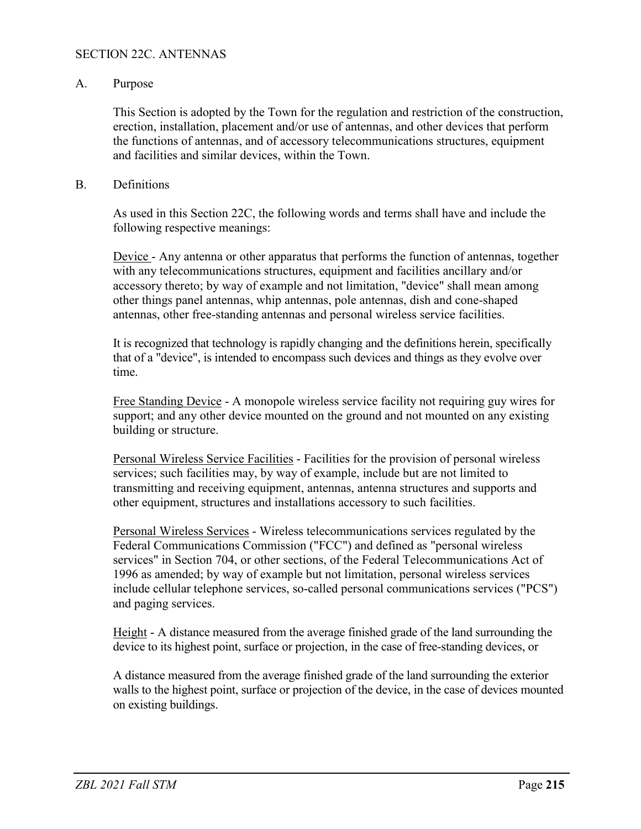### SECTION 22C. ANTENNAS

### A. Purpose

This Section is adopted by the Town for the regulation and restriction of the construction, erection, installation, placement and/or use of antennas, and other devices that perform the functions of antennas, and of accessory telecommunications structures, equipment and facilities and similar devices, within the Town.

### B. Definitions

As used in this Section 22C, the following words and terms shall have and include the following respective meanings:

Device - Any antenna or other apparatus that performs the function of antennas, together with any telecommunications structures, equipment and facilities ancillary and/or accessory thereto; by way of example and not limitation, "device" shall mean among other things panel antennas, whip antennas, pole antennas, dish and cone-shaped antennas, other free-standing antennas and personal wireless service facilities.

It is recognized that technology is rapidly changing and the definitions herein, specifically that of a "device", is intended to encompass such devices and things as they evolve over time.

Free Standing Device - A monopole wireless service facility not requiring guy wires for support; and any other device mounted on the ground and not mounted on any existing building or structure.

Personal Wireless Service Facilities - Facilities for the provision of personal wireless services; such facilities may, by way of example, include but are not limited to transmitting and receiving equipment, antennas, antenna structures and supports and other equipment, structures and installations accessory to such facilities.

Personal Wireless Services - Wireless telecommunications services regulated by the Federal Communications Commission ("FCC") and defined as "personal wireless services" in Section 704, or other sections, of the Federal Telecommunications Act of 1996 as amended; by way of example but not limitation, personal wireless services include cellular telephone services, so-called personal communications services ("PCS") and paging services.

Height - A distance measured from the average finished grade of the land surrounding the device to its highest point, surface or projection, in the case of free-standing devices, or

A distance measured from the average finished grade of the land surrounding the exterior walls to the highest point, surface or projection of the device, in the case of devices mounted on existing buildings.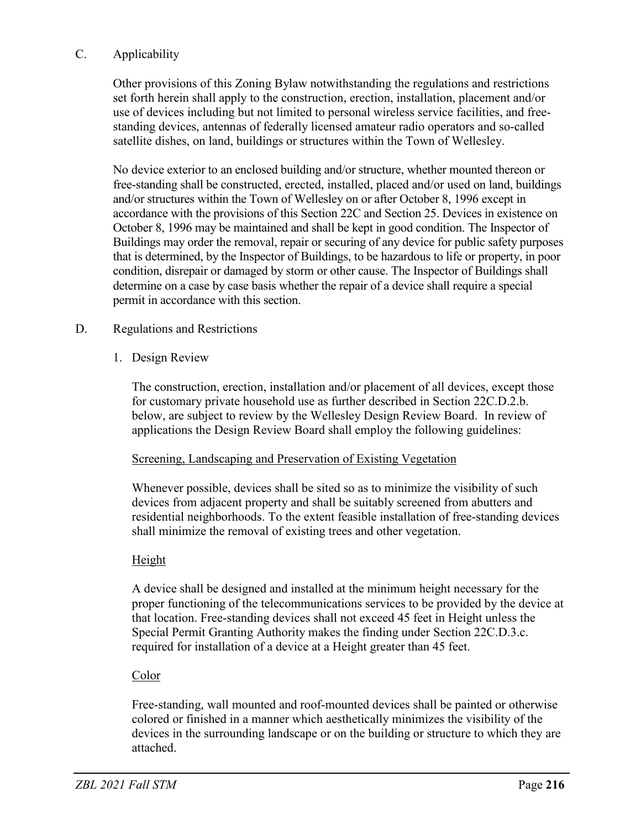# C. Applicability

Other provisions of this Zoning Bylaw notwithstanding the regulations and restrictions set forth herein shall apply to the construction, erection, installation, placement and/or use of devices including but not limited to personal wireless service facilities, and freestanding devices, antennas of federally licensed amateur radio operators and so-called satellite dishes, on land, buildings or structures within the Town of Wellesley.

No device exterior to an enclosed building and/or structure, whether mounted thereon or free-standing shall be constructed, erected, installed, placed and/or used on land, buildings and/or structures within the Town of Wellesley on or after October 8, 1996 except in accordance with the provisions of this Section 22C and Section 25. Devices in existence on October 8, 1996 may be maintained and shall be kept in good condition. The Inspector of Buildings may order the removal, repair or securing of any device for public safety purposes that is determined, by the Inspector of Buildings, to be hazardous to life or property, in poor condition, disrepair or damaged by storm or other cause. The Inspector of Buildings shall determine on a case by case basis whether the repair of a device shall require a special permit in accordance with this section.

## D. Regulations and Restrictions

## 1. Design Review

The construction, erection, installation and/or placement of all devices, except those for customary private household use as further described in Section 22C.D.2.b. below, are subject to review by the Wellesley Design Review Board. In review of applications the Design Review Board shall employ the following guidelines:

### Screening, Landscaping and Preservation of Existing Vegetation

Whenever possible, devices shall be sited so as to minimize the visibility of such devices from adjacent property and shall be suitably screened from abutters and residential neighborhoods. To the extent feasible installation of free-standing devices shall minimize the removal of existing trees and other vegetation.

### Height

A device shall be designed and installed at the minimum height necessary for the proper functioning of the telecommunications services to be provided by the device at that location. Free-standing devices shall not exceed 45 feet in Height unless the Special Permit Granting Authority makes the finding under Section 22C.D.3.c. required for installation of a device at a Height greater than 45 feet.

# Color

Free-standing, wall mounted and roof-mounted devices shall be painted or otherwise colored or finished in a manner which aesthetically minimizes the visibility of the devices in the surrounding landscape or on the building or structure to which they are attached.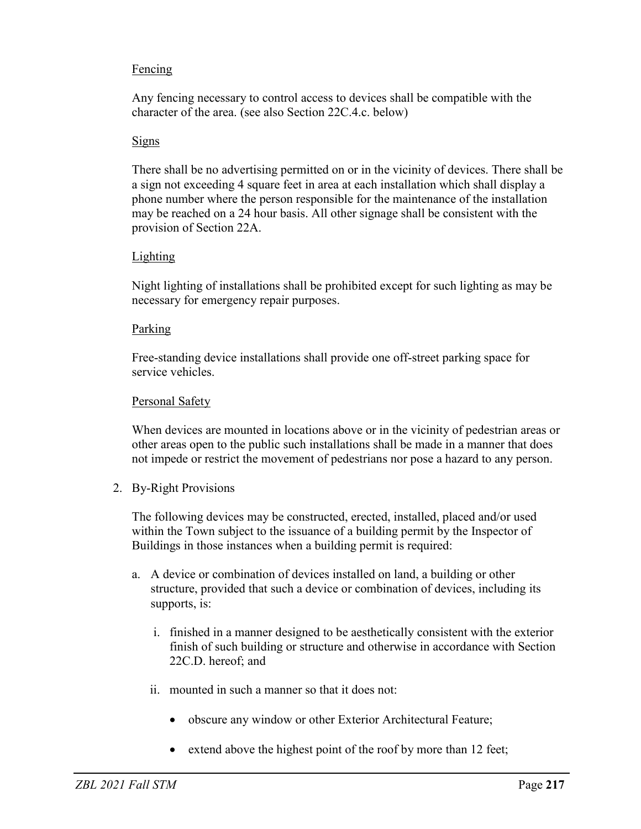# **Fencing**

Any fencing necessary to control access to devices shall be compatible with the character of the area. (see also Section 22C.4.c. below)

### **Signs**

There shall be no advertising permitted on or in the vicinity of devices. There shall be a sign not exceeding 4 square feet in area at each installation which shall display a phone number where the person responsible for the maintenance of the installation may be reached on a 24 hour basis. All other signage shall be consistent with the provision of Section 22A.

## Lighting

Night lighting of installations shall be prohibited except for such lighting as may be necessary for emergency repair purposes.

### Parking

Free-standing device installations shall provide one off-street parking space for service vehicles.

## Personal Safety

When devices are mounted in locations above or in the vicinity of pedestrian areas or other areas open to the public such installations shall be made in a manner that does not impede or restrict the movement of pedestrians nor pose a hazard to any person.

2. By-Right Provisions

The following devices may be constructed, erected, installed, placed and/or used within the Town subject to the issuance of a building permit by the Inspector of Buildings in those instances when a building permit is required:

- a. A device or combination of devices installed on land, a building or other structure, provided that such a device or combination of devices, including its supports, is:
	- i. finished in a manner designed to be aesthetically consistent with the exterior finish of such building or structure and otherwise in accordance with Section 22C.D. hereof; and
	- ii. mounted in such a manner so that it does not:
		- obscure any window or other Exterior Architectural Feature;
		- extend above the highest point of the roof by more than 12 feet;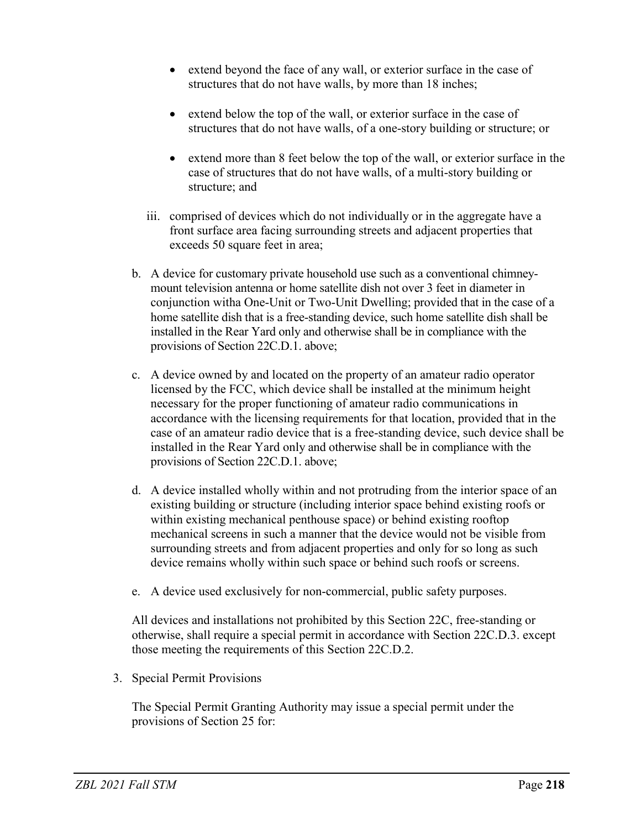- extend beyond the face of any wall, or exterior surface in the case of structures that do not have walls, by more than 18 inches;
- extend below the top of the wall, or exterior surface in the case of structures that do not have walls, of a one-story building or structure; or
- extend more than 8 feet below the top of the wall, or exterior surface in the case of structures that do not have walls, of a multi-story building or structure; and
- iii. comprised of devices which do not individually or in the aggregate have a front surface area facing surrounding streets and adjacent properties that exceeds 50 square feet in area;
- b. A device for customary private household use such as a conventional chimneymount television antenna or home satellite dish not over 3 feet in diameter in conjunction witha One-Unit or Two-Unit Dwelling; provided that in the case of a home satellite dish that is a free-standing device, such home satellite dish shall be installed in the Rear Yard only and otherwise shall be in compliance with the provisions of Section 22C.D.1. above;
- c. A device owned by and located on the property of an amateur radio operator licensed by the FCC, which device shall be installed at the minimum height necessary for the proper functioning of amateur radio communications in accordance with the licensing requirements for that location, provided that in the case of an amateur radio device that is a free-standing device, such device shall be installed in the Rear Yard only and otherwise shall be in compliance with the provisions of Section 22C.D.1. above;
- d. A device installed wholly within and not protruding from the interior space of an existing building or structure (including interior space behind existing roofs or within existing mechanical penthouse space) or behind existing rooftop mechanical screens in such a manner that the device would not be visible from surrounding streets and from adjacent properties and only for so long as such device remains wholly within such space or behind such roofs or screens.
- e. A device used exclusively for non-commercial, public safety purposes.

All devices and installations not prohibited by this Section 22C, free-standing or otherwise, shall require a special permit in accordance with Section 22C.D.3. except those meeting the requirements of this Section 22C.D.2.

3. Special Permit Provisions

The Special Permit Granting Authority may issue a special permit under the provisions of Section 25 for: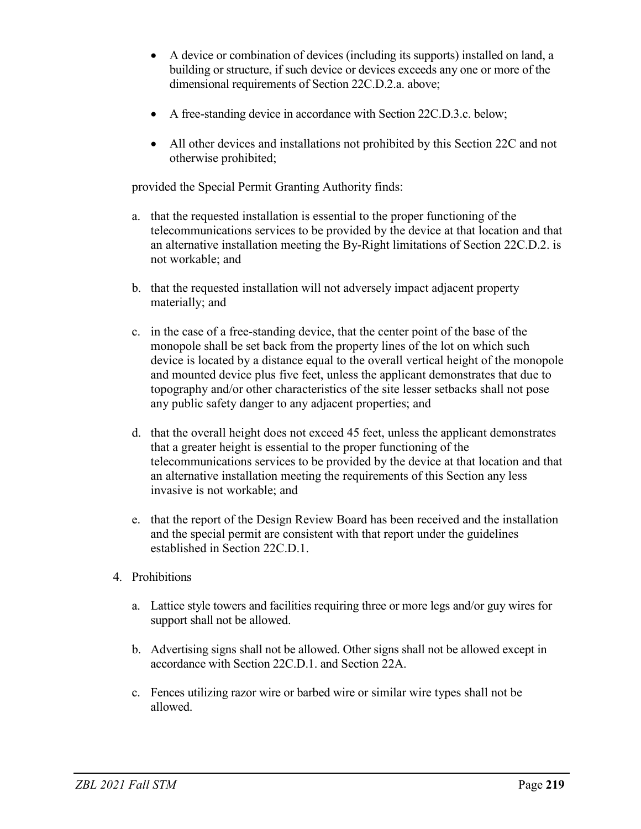- A device or combination of devices (including its supports) installed on land, a building or structure, if such device or devices exceeds any one or more of the dimensional requirements of Section 22C.D.2.a. above;
- A free-standing device in accordance with Section 22C.D.3.c. below;
- All other devices and installations not prohibited by this Section 22C and not otherwise prohibited;

provided the Special Permit Granting Authority finds:

- a. that the requested installation is essential to the proper functioning of the telecommunications services to be provided by the device at that location and that an alternative installation meeting the By-Right limitations of Section 22C.D.2. is not workable; and
- b. that the requested installation will not adversely impact adjacent property materially; and
- c. in the case of a free-standing device, that the center point of the base of the monopole shall be set back from the property lines of the lot on which such device is located by a distance equal to the overall vertical height of the monopole and mounted device plus five feet, unless the applicant demonstrates that due to topography and/or other characteristics of the site lesser setbacks shall not pose any public safety danger to any adjacent properties; and
- d. that the overall height does not exceed 45 feet, unless the applicant demonstrates that a greater height is essential to the proper functioning of the telecommunications services to be provided by the device at that location and that an alternative installation meeting the requirements of this Section any less invasive is not workable; and
- e. that the report of the Design Review Board has been received and the installation and the special permit are consistent with that report under the guidelines established in Section 22C.D.1.
- 4. Prohibitions
	- a. Lattice style towers and facilities requiring three or more legs and/or guy wires for support shall not be allowed.
	- b. Advertising signs shall not be allowed. Other signs shall not be allowed except in accordance with Section 22C.D.1. and Section 22A.
	- c. Fences utilizing razor wire or barbed wire or similar wire types shall not be allowed.